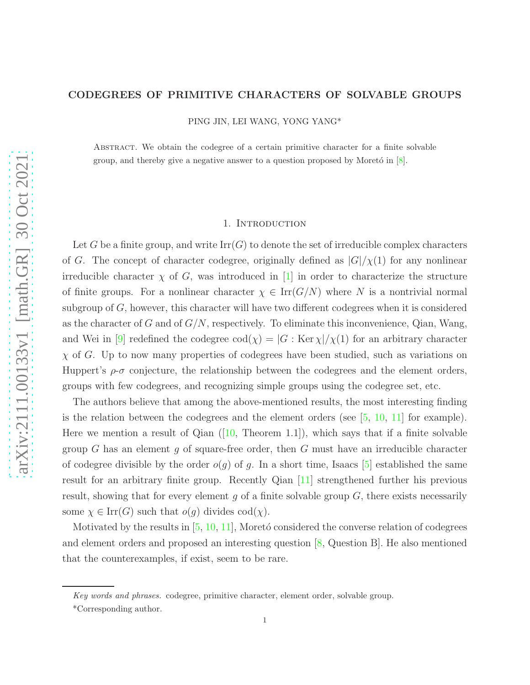### CODEGREES OF PRIMITIVE CHARACTERS OF SOLVABLE GROUPS

PING JIN, LEI WANG, YONG YANG\*

Abstract. We obtain the codegree of a certain primitive character for a finite solvable group, and thereby give a negative answer to a question proposed by Moreto in  $[8]$ .

# 1. INTRODUCTION

Let G be a finite group, and write  $\mathrm{Irr}(G)$  to denote the set of irreducible complex characters of G. The concept of character codegree, originally defined as  $|G|/\chi(1)$  for any nonlinear irreducible character  $\chi$  of G, was introduced in [\[1\]](#page-4-1) in order to characterize the structure of finite groups. For a nonlinear character  $\chi \in \text{Irr}(G/N)$  where N is a nontrivial normal subgroup of  $G$ , however, this character will have two different codegrees when it is considered as the character of G and of  $G/N$ , respectively. To eliminate this inconvenience, Qian, Wang, and Wei in [\[9\]](#page-4-2) redefined the codegree  $\text{cod}(\chi) = |G : \text{Ker }\chi|/\chi(1)$  for an arbitrary character  $\chi$  of G. Up to now many properties of codegrees have been studied, such as variations on Huppert's  $\rho$ - $\sigma$  conjecture, the relationship between the codegrees and the element orders, groups with few codegrees, and recognizing simple groups using the codegree set, etc.

The authors believe that among the above-mentioned results, the most interesting finding is the relation between the codegrees and the element orders (see  $[5, 10, 11]$  $[5, 10, 11]$  $[5, 10, 11]$  $[5, 10, 11]$  $[5, 10, 11]$  for example). Herewe mention a result of Qian  $(10,$  Theorem 1.1]), which says that if a finite solvable group G has an element g of square-free order, then G must have an irreducible character of codegree divisible by the order  $o(g)$  of g. In a short time, Isaacs [\[5\]](#page-4-3) established the same result for an arbitrary finite group. Recently Qian [\[11\]](#page-4-5) strengthened further his previous result, showing that for every element g of a finite solvable group  $G$ , there exists necessarily some  $\chi \in \text{Irr}(G)$  such that  $o(g)$  divides  $\text{cod}(\chi)$ .

Motivated by the results in  $[5, 10, 11]$  $[5, 10, 11]$  $[5, 10, 11]$  $[5, 10, 11]$ , Moretó considered the converse relation of codegrees and element orders and proposed an interesting question [\[8,](#page-4-0) Question B]. He also mentioned that the counterexamples, if exist, seem to be rare.

Key words and phrases. codegree, primitive character, element order, solvable group.

<sup>\*</sup>Corresponding author.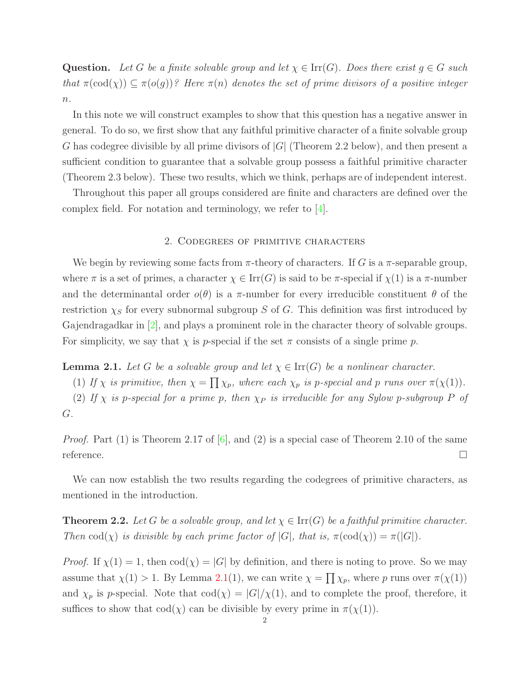**Question.** Let G be a finite solvable group and let  $\chi \in \text{Irr}(G)$ . Does there exist  $q \in G$  such that  $\pi(\text{cod}(\chi)) \subseteq \pi(o(g))$ ? Here  $\pi(n)$  denotes the set of prime divisors of a positive integer  $n$ .

In this note we will construct examples to show that this question has a negative answer in general. To do so, we first show that any faithful primitive character of a finite solvable group G has codegree divisible by all prime divisors of  $|G|$  (Theorem 2.2 below), and then present a sufficient condition to guarantee that a solvable group possess a faithful primitive character (Theorem 2.3 below). These two results, which we think, perhaps are of independent interest.

Throughout this paper all groups considered are finite and characters are defined over the complex field. For notation and terminology, we refer to [\[4\]](#page-4-6).

### 2. Codegrees of primitive characters

We begin by reviewing some facts from  $\pi$ -theory of characters. If G is a  $\pi$ -separable group, where  $\pi$  is a set of primes, a character  $\chi \in \text{Irr}(G)$  is said to be  $\pi$ -special if  $\chi(1)$  is a  $\pi$ -number and the determinantal order  $o(\theta)$  is a  $\pi$ -number for every irreducible constituent  $\theta$  of the restriction  $\chi_S$  for every subnormal subgroup S of G. This definition was first introduced by Gajendragadkar in [\[2\]](#page-4-7), and plays a prominent role in the character theory of solvable groups. For simplicity, we say that  $\chi$  is p-special if the set  $\pi$  consists of a single prime p.

<span id="page-1-0"></span>**Lemma 2.1.** Let G be a solvable group and let  $\chi \in \text{Irr}(G)$  be a nonlinear character.

(1) If  $\chi$  is primitive, then  $\chi = \prod \chi_p$ , where each  $\chi_p$  is p-special and p runs over  $\pi(\chi(1))$ .

(2) If  $\chi$  is p-special for a prime p, then  $\chi_P$  is irreducible for any Sylow p-subgroup P of G.

*Proof.* Part (1) is Theorem 2.17 of  $[6]$ , and (2) is a special case of Theorem 2.10 of the same reference.  $\Box$ 

We can now establish the two results regarding the codegrees of primitive characters, as mentioned in the introduction.

<span id="page-1-1"></span>**Theorem 2.2.** Let G be a solvable group, and let  $\chi \in \text{Irr}(G)$  be a faithful primitive character. Then  $\text{cod}(\chi)$  is divisible by each prime factor of  $|G|$ , that is,  $\pi(\text{cod}(\chi)) = \pi(|G|)$ .

*Proof.* If  $\chi(1) = 1$ , then  $\text{cod}(\chi) = |G|$  by definition, and there is noting to prove. So we may assume that  $\chi(1) > 1$ . By Lemma [2.1\(](#page-1-0)1), we can write  $\chi = \prod \chi_p$ , where p runs over  $\pi(\chi(1))$ and  $\chi_p$  is p-special. Note that  $\text{cod}(\chi) = |G|/\chi(1)$ , and to complete the proof, therefore, it suffices to show that  $\text{cod}(\chi)$  can be divisible by every prime in  $\pi(\chi(1))$ .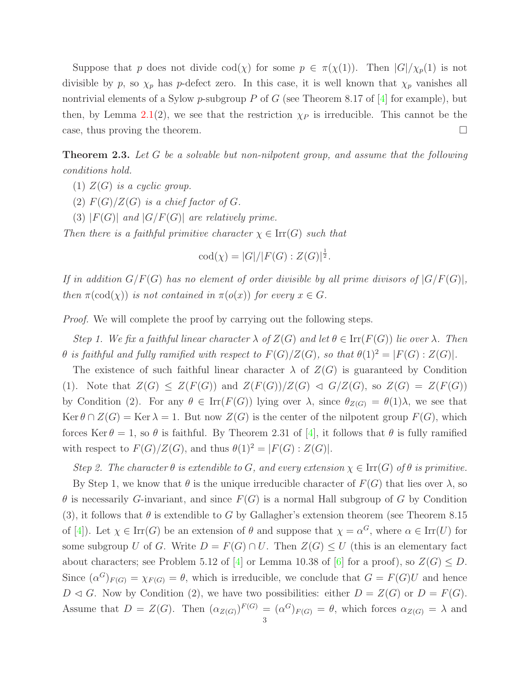Suppose that p does not divide  $\text{cod}(\chi)$  for some  $p \in \pi(\chi(1))$ . Then  $|G|/\chi_p(1)$  is not divisible by p, so  $\chi_p$  has p-defect zero. In this case, it is well known that  $\chi_p$  vanishes all nontrivial elements of a Sylow p-subgroup P of G (see Theorem 8.17 of  $[4]$  for example), but then, by Lemma [2.1\(](#page-1-0)2), we see that the restriction  $\chi_P$  is irreducible. This cannot be the case, thus proving the theorem.

<span id="page-2-0"></span>Theorem 2.3. Let G be a solvable but non-nilpotent group, and assume that the following conditions hold.

- (1)  $Z(G)$  is a cyclic group.
- (2)  $F(G)/Z(G)$  is a chief factor of G.
- (3)  $|F(G)|$  and  $|G/F(G)|$  are relatively prime.

Then there is a faithful primitive character  $\chi \in \text{Irr}(G)$  such that

$$
cod(\chi) = |G|/|F(G) : Z(G)|^{\frac{1}{2}}.
$$

If in addition  $G/F(G)$  has no element of order divisible by all prime divisors of  $|G/F(G)|$ , then  $\pi(\text{cod}(\chi))$  is not contained in  $\pi(o(x))$  for every  $x \in G$ .

*Proof.* We will complete the proof by carrying out the following steps.

Step 1. We fix a faithful linear character  $\lambda$  of  $Z(G)$  and let  $\theta \in \text{Irr}(F(G))$  lie over  $\lambda$ . Then  $\theta$  is faithful and fully ramified with respect to  $F(G)/Z(G)$ , so that  $\theta(1)^2 = |F(G):Z(G)|$ .

The existence of such faithful linear character  $\lambda$  of  $Z(G)$  is guaranteed by Condition (1). Note that  $Z(G) \leq Z(F(G))$  and  $Z(F(G))/Z(G) \triangleleft G/Z(G)$ , so  $Z(G) = Z(F(G))$ by Condition (2). For any  $\theta \in \text{Irr}(F(G))$  lying over  $\lambda$ , since  $\theta_{Z(G)} = \theta(1)\lambda$ , we see that  $\text{Ker }\theta \cap Z(G) = \text{Ker }\lambda = 1.$  But now  $Z(G)$  is the center of the nilpotent group  $F(G)$ , which forces Ker  $\theta = 1$ , so  $\theta$  is faithful. By Theorem 2.31 of [\[4\]](#page-4-6), it follows that  $\theta$  is fully ramified with respect to  $F(G)/Z(G)$ , and thus  $\theta(1)^2 = |F(G):Z(G)|$ .

Step 2. The character  $\theta$  is extendible to G, and every extension  $\chi \in \text{Irr}(G)$  of  $\theta$  is primitive.

By Step 1, we know that  $\theta$  is the unique irreducible character of  $F(G)$  that lies over  $\lambda$ , so  $\theta$  is necessarily G-invariant, and since  $F(G)$  is a normal Hall subgroup of G by Condition (3), it follows that  $\theta$  is extendible to G by Gallagher's extension theorem (see Theorem 8.15) of [\[4\]](#page-4-6)). Let  $\chi \in \text{Irr}(G)$  be an extension of  $\theta$  and suppose that  $\chi = \alpha^G$ , where  $\alpha \in \text{Irr}(U)$  for some subgroup U of G. Write  $D = F(G) \cap U$ . Then  $Z(G) \leq U$  (this is an elementary fact about characters; see Problem 5.12 of [\[4\]](#page-4-6) or Lemma 10.38 of [\[6\]](#page-4-8) for a proof), so  $Z(G) \leq D$ . Since  $(\alpha^G)_{F(G)} = \chi_{F(G)} = \theta$ , which is irreducible, we conclude that  $G = F(G)U$  and hence  $D \triangleleft G$ . Now by Condition (2), we have two possibilities: either  $D = Z(G)$  or  $D = F(G)$ . Assume that  $D = Z(G)$ . Then  $(\alpha_{Z(G)})^{F(G)} = (\alpha^{G})_{F(G)} = \theta$ , which forces  $\alpha_{Z(G)} = \lambda$  and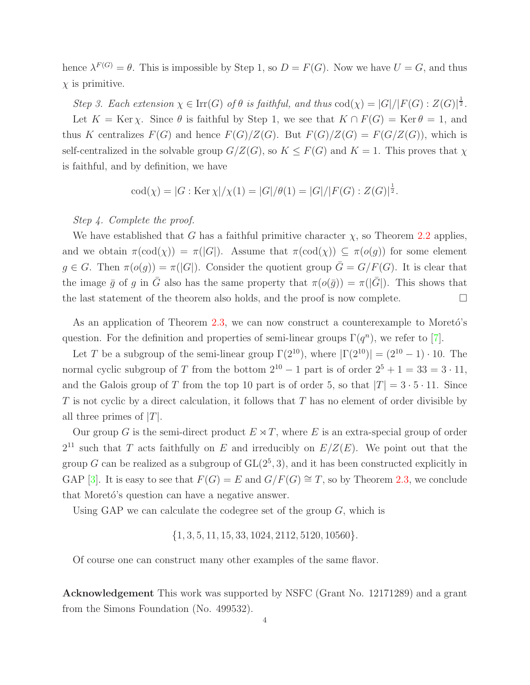hence  $\lambda^{F(G)} = \theta$ . This is impossible by Step 1, so  $D = F(G)$ . Now we have  $U = G$ , and thus  $\chi$  is primitive.

Step 3. Each extension  $\chi \in \text{Irr}(G)$  of  $\theta$  is faithful, and thus  $\text{cod}(\chi) = |G|/|F(G): Z(G)|^{\frac{1}{2}}$ . Let  $K = \text{Ker } \chi$ . Since  $\theta$  is faithful by Step 1, we see that  $K \cap F(G) = \text{Ker } \theta = 1$ , and thus K centralizes  $F(G)$  and hence  $F(G)/Z(G)$ . But  $F(G)/Z(G) = F(G/Z(G))$ , which is self-centralized in the solvable group  $G/Z(G)$ , so  $K \leq F(G)$  and  $K = 1$ . This proves that  $\chi$ 

is faithful, and by definition, we have

$$
\mathrm{cod}(\chi) = |G:\mathrm{Ker}\,\chi|/\chi(1) = |G|/\theta(1) = |G|/|F(G):Z(G)|^{\frac{1}{2}}.
$$

# Step 4. Complete the proof.

We have established that G has a faithful primitive character  $\chi$ , so Theorem [2.2](#page-1-1) applies, and we obtain  $\pi(\text{cod}(\chi)) = \pi(|G|)$ . Assume that  $\pi(\text{cod}(\chi)) \subseteq \pi(o(g))$  for some element  $g \in G$ . Then  $\pi(o(g)) = \pi(|G|)$ . Consider the quotient group  $\overline{G} = G/F(G)$ . It is clear that the image  $\bar{g}$  of g in  $\bar{G}$  also has the same property that  $\pi(o(\bar{g})) = \pi(|\bar{G}|)$ . This shows that the last statement of the theorem also holds, and the proof is now complete.  $\Box$ 

As an application of Theorem  $2.3$ , we can now construct a counterexample to Moretó's question. For the definition and properties of semi-linear groups  $\Gamma(q^n)$ , we refer to [7].

Let T be a subgroup of the semi-linear group  $\Gamma(2^{10})$ , where  $|\Gamma(2^{10})| = (2^{10} - 1) \cdot 10$ . The normal cyclic subgroup of T from the bottom  $2^{10} - 1$  part is of order  $2^5 + 1 = 33 = 3 \cdot 11$ , and the Galois group of T from the top 10 part is of order 5, so that  $|T| = 3 \cdot 5 \cdot 11$ . Since  $T$  is not cyclic by a direct calculation, it follows that  $T$  has no element of order divisible by all three primes of  $|T|$ .

Our group G is the semi-direct product  $E \rtimes T$ , where E is an extra-special group of order  $2^{11}$  such that T acts faithfully on E and irreducibly on  $E/Z(E)$ . We point out that the group G can be realized as a subgroup of  $GL(2^5,3)$ , and it has been constructed explicitly in GAP [\[3\]](#page-4-9). It is easy to see that  $F(G) = E$  and  $G/F(G) \cong T$ , so by Theorem [2.3,](#page-2-0) we conclude that Moreto's question can have a negative answer.

Using GAP we can calculate the codegree set of the group  $G$ , which is

{1, 3, 5, 11, 15, 33, 1024, 2112, 5120, 10560}.

Of course one can construct many other examples of the same flavor.

Acknowledgement This work was supported by NSFC (Grant No. 12171289) and a grant from the Simons Foundation (No. 499532).